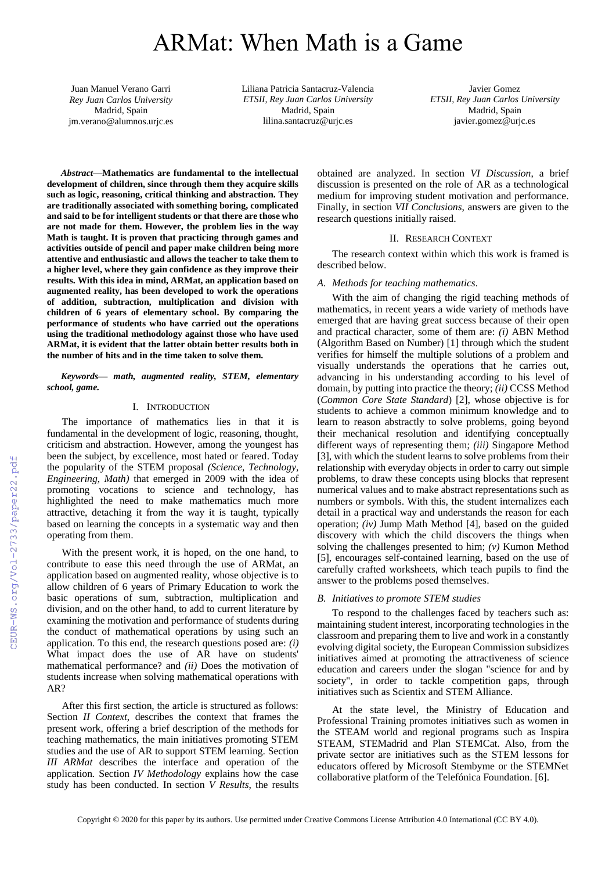# ARMat: When Math is a Game

Juan Manuel Verano Garri *Rey Juan Carlos University* Madrid, Spain jm.verano@alumnos.urjc.es Liliana Patricia Santacruz-Valencia *ETSII, Rey Juan Carlos University* Madrid, Spain lilina.santacruz@urjc.es

Javier Gomez *ETSII, Rey Juan Carlos University* Madrid, Spain javier.gomez@urjc.es

*Abstract***—Mathematics are fundamental to the intellectual development of children, since through them they acquire skills such as logic, reasoning, critical thinking and abstraction. They are traditionally associated with something boring, complicated and said to be for intelligent students or that there are those who are not made for them. However, the problem lies in the way Math is taught. It is proven that practicing through games and activities outside of pencil and paper make children being more attentive and enthusiastic and allows the teacher to take them to a higher level, where they gain confidence as they improve their results. With this idea in mind, ARMat, an application based on augmented reality, has been developed to work the operations of addition, subtraction, multiplication and division with children of 6 years of elementary school. By comparing the performance of students who have carried out the operations using the traditional methodology against those who have used ARMat, it is evident that the latter obtain better results both in the number of hits and in the time taken to solve them.**

*Keywords— math, augmented reality, STEM, elementary school, game.*

# I. INTRODUCTION

The importance of mathematics lies in that it is fundamental in the development of logic, reasoning, thought, criticism and abstraction. However, among the youngest has been the subject, by excellence, most hated or feared. Today the popularity of the STEM proposal *(Science, Technology, Engineering, Math)* that emerged in 2009 with the idea of promoting vocations to science and technology, has highlighted the need to make mathematics much more attractive, detaching it from the way it is taught, typically based on learning the concepts in a systematic way and then operating from them.

With the present work, it is hoped, on the one hand, to contribute to ease this need through the use of ARMat, an application based on augmented reality, whose objective is to allow children of 6 years of Primary Education to work the basic operations of sum, subtraction, multiplication and division, and on the other hand, to add to current literature by examining the motivation and performance of students during the conduct of mathematical operations by using such an application. To this end, the research questions posed are: *(i)* What impact does the use of AR have on students' mathematical performance? and *(ii)* Does the motivation of students increase when solving mathematical operations with AR?

After this first section, the article is structured as follows: Section *II Context*, describes the context that frames the present work, offering a brief description of the methods for teaching mathematics, the main initiatives promoting STEM studies and the use of AR to support STEM learning. Section *III ARMat* describes the interface and operation of the application*.* Section *IV Methodology* explains how the case study has been conducted. In section *V Results*, the results obtained are analyzed. In section *VI Discussion*, a brief discussion is presented on the role of AR as a technological medium for improving student motivation and performance. Finally, in section *VII Conclusions*, answers are given to the research questions initially raised.

## II. RESEARCH CONTEXT

The research context within which this work is framed is described below.

#### *A. Methods for teaching mathematics.*

With the aim of changing the rigid teaching methods of mathematics, in recent years a wide variety of methods have emerged that are having great success because of their open and practical character, some of them are: *(i)* ABN Method (Algorithm Based on Number) [1] through which the student verifies for himself the multiple solutions of a problem and visually understands the operations that he carries out, advancing in his understanding according to his level of domain, by putting into practice the theory; *(ii)* CCSS Method (*Common Core State Standard*) [2], whose objective is for students to achieve a common minimum knowledge and to learn to reason abstractly to solve problems, going beyond their mechanical resolution and identifying conceptually different ways of representing them; *(iii)* Singapore Method [3], with which the student learns to solve problems from their relationship with everyday objects in order to carry out simple problems, to draw these concepts using blocks that represent numerical values and to make abstract representations such as numbers or symbols. With this, the student internalizes each detail in a practical way and understands the reason for each operation; *(iv)* Jump Math Method [4], based on the guided discovery with which the child discovers the things when solving the challenges presented to him; *(v)* Kumon Method [5], encourages self-contained learning, based on the use of carefully crafted worksheets, which teach pupils to find the answer to the problems posed themselves.

### *B. Initiatives to promote STEM studies*

To respond to the challenges faced by teachers such as: maintaining student interest, incorporating technologies in the classroom and preparing them to live and work in a constantly evolving digital society, the European Commission subsidizes initiatives aimed at promoting the attractiveness of science education and careers under the slogan "science for and by society", in order to tackle competition gaps, through initiatives such as Scientix and STEM Alliance.

At the state level, the Ministry of Education and Professional Training promotes initiatives such as women in the STEAM world and regional programs such as Inspira STEAM, STEMadrid and Plan STEMCat. Also, from the private sector are initiatives such as the STEM lessons for educators offered by Microsoft Stembyme or the STEMNet collaborative platform of the Telefónica Foundation. [6].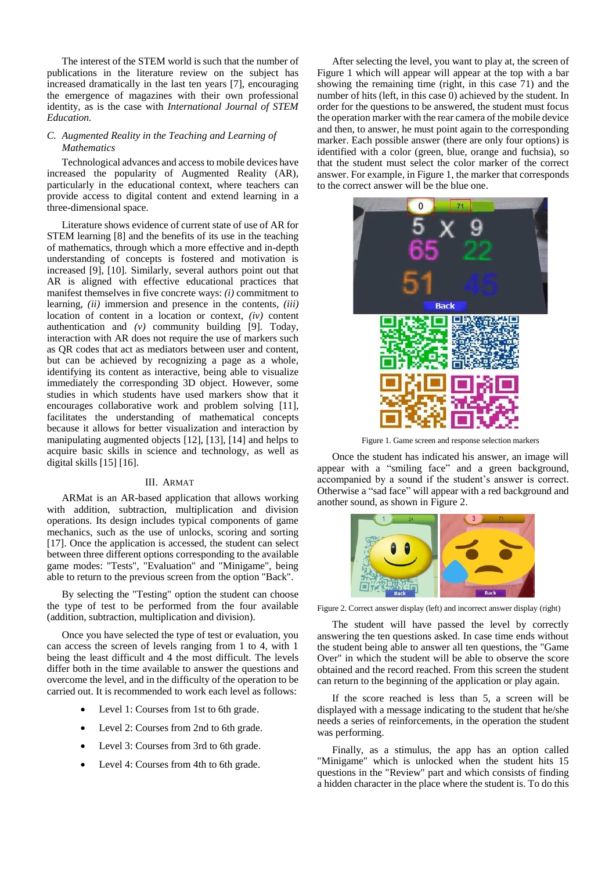The interest of the STEM world is such that the number of publications in the literature review on the subject has increased dramatically in the last ten years [7], encouraging the emergence of magazines with their own professional identity, as is the case with *International Journal of STEM Education.*

# *C. Augmented Reality in the Teaching and Learning of Mathematics*

Technological advances and access to mobile devices have increased the popularity of Augmented Reality (AR), particularly in the educational context, where teachers can provide access to digital content and extend learning in a three-dimensional space.

Literature shows evidence of current state of use of AR for STEM learning [8] and the benefits of its use in the teaching of mathematics, through which a more effective and in-depth understanding of concepts is fostered and motivation is increased [9], [10]. Similarly, several authors point out that AR is aligned with effective educational practices that manifest themselves in five concrete ways: *(i)* commitment to learning, *(ii)* immersion and presence in the contents, *(iii)* location of content in a location or context, *(iv)* content authentication and *(v)* community building [9]. Today, interaction with AR does not require the use of markers such as QR codes that act as mediators between user and content, but can be achieved by recognizing a page as a whole, identifying its content as interactive, being able to visualize immediately the corresponding 3D object. However, some studies in which students have used markers show that it encourages collaborative work and problem solving [11], facilitates the understanding of mathematical concepts because it allows for better visualization and interaction by manipulating augmented objects [12], [13], [14] and helps to acquire basic skills in science and technology, as well as digital skills [15] [16].

# III. ARMAT

ARMat is an AR-based application that allows working with addition, subtraction, multiplication and division operations. Its design includes typical components of game mechanics, such as the use of unlocks, scoring and sorting [17]. Once the application is accessed, the student can select between three different options corresponding to the available game modes: "Tests", "Evaluation" and "Minigame", being able to return to the previous screen from the option "Back".

By selecting the "Testing" option the student can choose the type of test to be performed from the four available (addition, subtraction, multiplication and division).

Once you have selected the type of test or evaluation, you can access the screen of levels ranging from 1 to 4, with 1 being the least difficult and 4 the most difficult. The levels differ both in the time available to answer the questions and overcome the level, and in the difficulty of the operation to be carried out. It is recommended to work each level as follows:

- Level 1: Courses from 1st to 6th grade.
- Level 2: Courses from 2nd to 6th grade.
- Level 3: Courses from 3rd to 6th grade.
- Level 4: Courses from 4th to 6th grade.

After selecting the level, you want to play at, the screen of Figure 1 which will appear will appear at the top with a bar showing the remaining time (right, in this case 71) and the number of hits (left, in this case 0) achieved by the student. In order for the questions to be answered, the student must focus the operation marker with the rear camera of the mobile device and then, to answer, he must point again to the corresponding marker. Each possible answer (there are only four options) is identified with a color (green, blue, orange and fuchsia), so that the student must select the color marker of the correct answer. For example, in Figure 1, the marker that corresponds to the correct answer will be the blue one.



Figure 1. Game screen and response selection markers

Once the student has indicated his answer, an image will appear with a "smiling face" and a green background, accompanied by a sound if the student's answer is correct. Otherwise a "sad face" will appear with a red background and another sound, as shown in Figure 2.



Figure 2. Correct answer display (left) and incorrect answer display (right)

The student will have passed the level by correctly answering the ten questions asked. In case time ends without the student being able to answer all ten questions, the "Game Over" in which the student will be able to observe the score obtained and the record reached. From this screen the student can return to the beginning of the application or play again.

If the score reached is less than 5, a screen will be displayed with a message indicating to the student that he/she needs a series of reinforcements, in the operation the student was performing.

Finally, as a stimulus, the app has an option called "Minigame" which is unlocked when the student hits 15 questions in the "Review" part and which consists of finding a hidden character in the place where the student is. To do this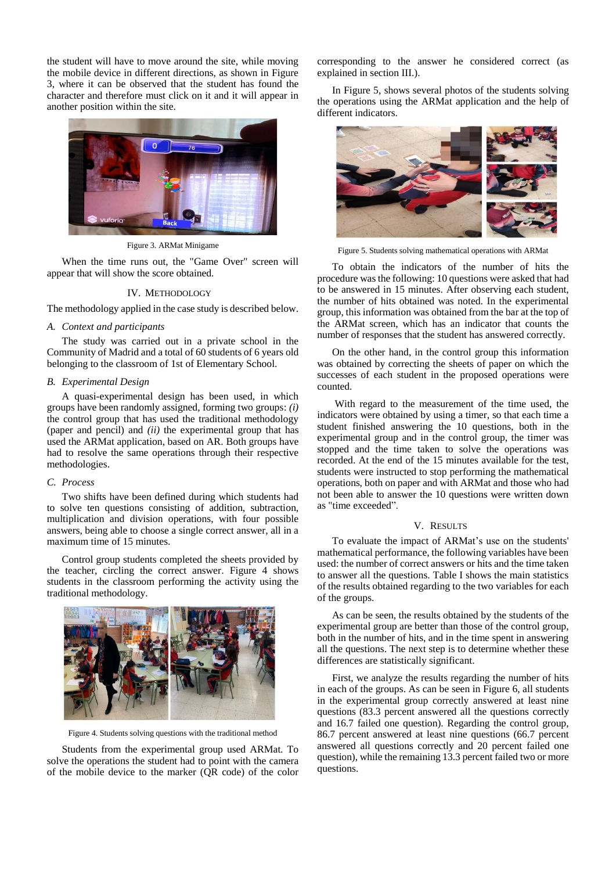the student will have to move around the site, while moving the mobile device in different directions, as shown in Figure 3, where it can be observed that the student has found the character and therefore must click on it and it will appear in another position within the site.



Figure 3. ARMat Minigame

When the time runs out, the "Game Over" screen will appear that will show the score obtained.

## IV. METHODOLOGY

The methodology applied in the case study is described below.

#### *A. Context and participants*

The study was carried out in a private school in the Community of Madrid and a total of 60 students of 6 years old belonging to the classroom of 1st of Elementary School.

## *B. Experimental Design*

A quasi-experimental design has been used, in which groups have been randomly assigned, forming two groups: *(i)* the control group that has used the traditional methodology (paper and pencil) and *(ii)* the experimental group that has used the ARMat application, based on AR. Both groups have had to resolve the same operations through their respective methodologies.

#### *C. Process*

Two shifts have been defined during which students had to solve ten questions consisting of addition, subtraction, multiplication and division operations, with four possible answers, being able to choose a single correct answer, all in a maximum time of 15 minutes.

Control group students completed the sheets provided by the teacher, circling the correct answer. Figure 4 shows students in the classroom performing the activity using the traditional methodology.



Figure 4. Students solving questions with the traditional method

Students from the experimental group used ARMat. To solve the operations the student had to point with the camera of the mobile device to the marker (QR code) of the color

corresponding to the answer he considered correct (as explained in section III.).

In Figure 5, shows several photos of the students solving the operations using the ARMat application and the help of different indicators.



Figure 5. Students solving mathematical operations with ARMat

To obtain the indicators of the number of hits the procedure was the following: 10 questions were asked that had to be answered in 15 minutes. After observing each student, the number of hits obtained was noted. In the experimental group, this information was obtained from the bar at the top of the ARMat screen, which has an indicator that counts the number of responses that the student has answered correctly.

On the other hand, in the control group this information was obtained by correcting the sheets of paper on which the successes of each student in the proposed operations were counted.

With regard to the measurement of the time used, the indicators were obtained by using a timer, so that each time a student finished answering the 10 questions, both in the experimental group and in the control group, the timer was stopped and the time taken to solve the operations was recorded. At the end of the 15 minutes available for the test, students were instructed to stop performing the mathematical operations, both on paper and with ARMat and those who had not been able to answer the 10 questions were written down as "time exceeded".

# V. RESULTS

To evaluate the impact of ARMat's use on the students' mathematical performance, the following variables have been used: the number of correct answers or hits and the time taken to answer all the questions. Table I shows the main statistics of the results obtained regarding to the two variables for each of the groups.

As can be seen, the results obtained by the students of the experimental group are better than those of the control group, both in the number of hits, and in the time spent in answering all the questions. The next step is to determine whether these differences are statistically significant.

First, we analyze the results regarding the number of hits in each of the groups. As can be seen in Figure 6, all students in the experimental group correctly answered at least nine questions (83.3 percent answered all the questions correctly and 16.7 failed one question). Regarding the control group, 86.7 percent answered at least nine questions (66.7 percent answered all questions correctly and 20 percent failed one question), while the remaining 13.3 percent failed two or more questions.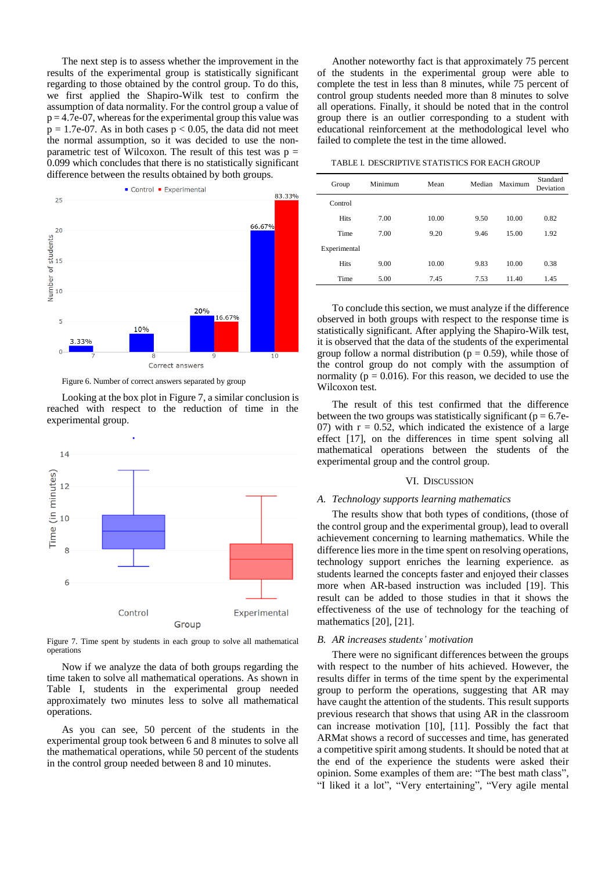The next step is to assess whether the improvement in the results of the experimental group is statistically significant regarding to those obtained by the control group. To do this, we first applied the Shapiro-Wilk test to confirm the assumption of data normality. For the control group a value of  $p = 4.7e-07$ , whereas for the experimental group this value was  $p = 1.7e-07$ . As in both cases  $p < 0.05$ , the data did not meet the normal assumption, so it was decided to use the nonparametric test of Wilcoxon. The result of this test was  $p =$ 0.099 which concludes that there is no statistically significant difference between the results obtained by both groups.



Figure 6. Number of correct answers separated by group

Looking at the box plot in Figure 7, a similar conclusion is reached with respect to the reduction of time in the experimental group.



Figure 7. Time spent by students in each group to solve all mathematical operations

Now if we analyze the data of both groups regarding the time taken to solve all mathematical operations. As shown in Table I, students in the experimental group needed approximately two minutes less to solve all mathematical operations.

As you can see, 50 percent of the students in the experimental group took between 6 and 8 minutes to solve all the mathematical operations, while 50 percent of the students in the control group needed between 8 and 10 minutes.

Another noteworthy fact is that approximately 75 percent of the students in the experimental group were able to complete the test in less than 8 minutes, while 75 percent of control group students needed more than 8 minutes to solve all operations. Finally, it should be noted that in the control group there is an outlier corresponding to a student with educational reinforcement at the methodological level who failed to complete the test in the time allowed.

TABLE I. DESCRIPTIVE STATISTICS FOR EACH GROUP

| Group        | Minimum | Mean  | Median | Maximum | Standard<br>Deviation |
|--------------|---------|-------|--------|---------|-----------------------|
| Control      |         |       |        |         |                       |
| <b>Hits</b>  | 7.00    | 10.00 | 9.50   | 10.00   | 0.82                  |
| Time         | 7.00    | 9.20  | 9.46   | 15.00   | 1.92                  |
| Experimental |         |       |        |         |                       |
| <b>Hits</b>  | 9.00    | 10.00 | 9.83   | 10.00   | 0.38                  |
| Time         | 5.00    | 7.45  | 7.53   | 11.40   | 1.45                  |
|              |         |       |        |         |                       |

To conclude this section, we must analyze if the difference observed in both groups with respect to the response time is statistically significant. After applying the Shapiro-Wilk test, it is observed that the data of the students of the experimental group follow a normal distribution ( $p = 0.59$ ), while those of the control group do not comply with the assumption of normality ( $p = 0.016$ ). For this reason, we decided to use the Wilcoxon test.

The result of this test confirmed that the difference between the two groups was statistically significant ( $p = 6.7e$ -07) with  $r = 0.52$ , which indicated the existence of a large effect [17], on the differences in time spent solving all mathematical operations between the students of the experimental group and the control group.

### VI. DISCUSSION

## *A. Technology supports learning mathematics*

The results show that both types of conditions, (those of the control group and the experimental group), lead to overall achievement concerning to learning mathematics. While the difference lies more in the time spent on resolving operations, technology support enriches the learning experience. as students learned the concepts faster and enjoyed their classes more when AR-based instruction was included [19]. This result can be added to those studies in that it shows the effectiveness of the use of technology for the teaching of mathematics [20], [21].

# *B. AR increases students' motivation*

There were no significant differences between the groups with respect to the number of hits achieved. However, the results differ in terms of the time spent by the experimental group to perform the operations, suggesting that AR may have caught the attention of the students. This result supports previous research that shows that using AR in the classroom can increase motivation [10], [11]. Possibly the fact that ARMat shows a record of successes and time, has generated a competitive spirit among students. It should be noted that at the end of the experience the students were asked their opinion. Some examples of them are: "The best math class", "I liked it a lot", "Very entertaining", "Very agile mental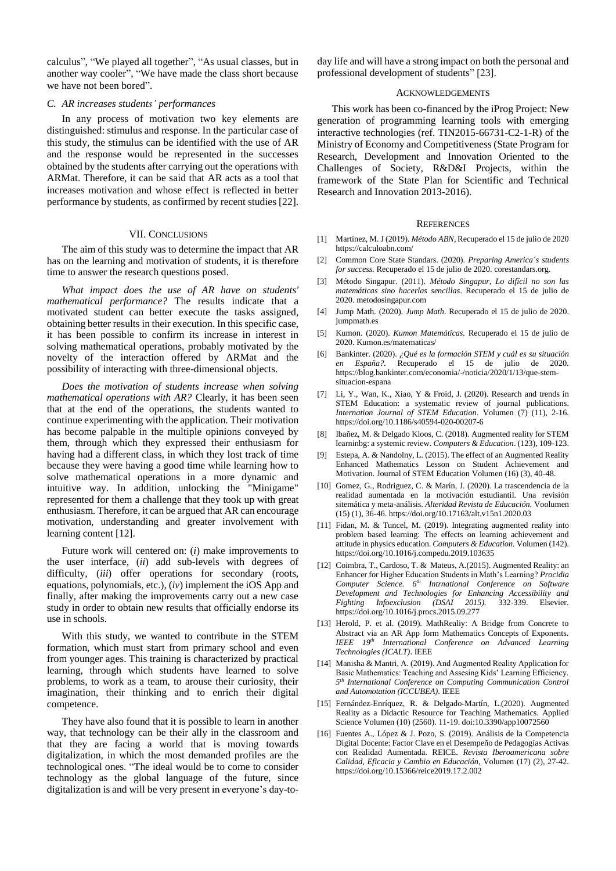calculus", "We played all together", "As usual classes, but in another way cooler", "We have made the class short because we have not been bored".

#### *C. AR increases students' performances*

In any process of motivation two key elements are distinguished: stimulus and response. In the particular case of this study, the stimulus can be identified with the use of AR and the response would be represented in the successes obtained by the students after carrying out the operations with ARMat. Therefore, it can be said that AR acts as a tool that increases motivation and whose effect is reflected in better performance by students, as confirmed by recent studies [22].

#### VII. CONCLUSIONS

The aim of this study was to determine the impact that AR has on the learning and motivation of students, it is therefore time to answer the research questions posed.

*What impact does the use of AR have on students' mathematical performance?* The results indicate that a motivated student can better execute the tasks assigned, obtaining better results in their execution. In this specific case, it has been possible to confirm its increase in interest in solving mathematical operations, probably motivated by the novelty of the interaction offered by ARMat and the possibility of interacting with three-dimensional objects.

*Does the motivation of students increase when solving mathematical operations with AR?* Clearly, it has been seen that at the end of the operations, the students wanted to continue experimenting with the application. Their motivation has become palpable in the multiple opinions conveyed by them, through which they expressed their enthusiasm for having had a different class, in which they lost track of time because they were having a good time while learning how to solve mathematical operations in a more dynamic and intuitive way. In addition, unlocking the "Minigame" represented for them a challenge that they took up with great enthusiasm. Therefore, it can be argued that AR can encourage motivation, understanding and greater involvement with learning content [12].

Future work will centered on: (*i*) make improvements to the user interface, (*ii*) add sub-levels with degrees of difficulty, (*iii*) offer operations for secondary (roots, equations, polynomials, etc.), (*iv*) implement the iOS App and finally, after making the improvements carry out a new case study in order to obtain new results that officially endorse its use in schools.

With this study, we wanted to contribute in the STEM formation, which must start from primary school and even from younger ages. This training is characterized by practical learning, through which students have learned to solve problems, to work as a team, to arouse their curiosity, their imagination, their thinking and to enrich their digital competence.

They have also found that it is possible to learn in another way, that technology can be their ally in the classroom and that they are facing a world that is moving towards digitalization, in which the most demanded profiles are the technological ones. "The ideal would be to come to consider technology as the global language of the future, since digitalization is and will be very present in everyone's day-today life and will have a strong impact on both the personal and professional development of students" [23].

## ACKNOWLEDGEMENTS

This work has been co-financed by the iProg Project: New generation of programming learning tools with emerging interactive technologies (ref. TIN2015-66731-C2-1-R) of the Ministry of Economy and Competitiveness (State Program for Research, Development and Innovation Oriented to the Challenges of Society, R&D&I Projects, within the framework of the State Plan for Scientific and Technical Research and Innovation 2013-2016).

## **REFERENCES**

- [1] Martínez, M. J (2019). *Método ABN,* Recuperado el 15 de julio de 2020 https://calculoabn.com/
- [2] Common Core State Standars. (2020). *Preparing America´s students for success.* Recuperado el 15 de julio de 2020. corestandars.org.
- [3] Método Singapur. (2011). *Método Singapur, Lo difícil no son las matemáticas sino hacerlas sencillas*. Recuperado el 15 de julio de 2020. metodosingapur.com
- [4] Jump Math. (2020). *Jump Math*. Recuperado el 15 de julio de 2020. jumpmath.es
- [5] Kumon. (2020). *Kumon Matemáticas.* Recuperado el 15 de julio de 2020. Kumon.es/matematicas/
- [6] Bankinter. (2020). *¿Qué es la formación STEM y cuál es su situación en España?.* Recuperado el 15 de julio de 2020. https://blog.bankinter.com/economia/-/noticia/2020/1/13/que-stemsituacion-espana
- [7] Li, Y., Wan, K., Xiao, Y & Froid, J. (2020). Research and trends in STEM Education: a systematic review of journal publications. *Internation Journal of STEM Education*. Volumen (7) (11), 2-16. https://doi.org/10.1186/s40594-020-00207-6
- [8] Ibañez, M. & Delgado Kloos, C. (2018). Augmented reality for STEM learninbg: a systemic review. *Computers & Education*. (123), 109-123.
- [9] Estepa, A. & Nandolny, L. (2015). The effect of an Augmented Reality Enhanced Mathematics Lesson on Student Achievement and Motivation. Journal of STEM Education Volumen (16) (3), 40-48.
- [10] Gomez, G., Rodriguez, C. & Marín, J. (2020). La trascendencia de la realidad aumentada en la motivación estudiantil. Una revisión sitemática y meta-análisis. *Alteridad Revista de Educación.* Voolumen (15) (1), 36-46. https://doi.org/10.17163/alt.v15n1.2020.03
- [11] Fidan, M. & Tuncel, M. (2019). Integrating augmented reality into problem based learning: The effects on learning achievement and attitude in physics education. *Computers & Education.* Volumen (142). https://doi.org/10.1016/j.compedu.2019.103635
- [12] Coimbra, T., Cardoso, T. & Mateus, A.(2015). Augmented Reality: an Enhancer for Higher Education Students in Math's Learning? *Procidia Computer Science. 6th Intrnational Conference on Software Development and Technologies for Enhancing Accessibility and Fighting Infoexclusion (DSAI 2015).* 332-339. Elsevier. https://doi.org/10.1016/j.procs.2015.09.277
- [13] Herold, P. et al. (2019). MathRealiy: A Bridge from Concrete to Abstract via an AR App form Mathematics Concepts of Exponents. *IEEE 19th International Conference on Advanced Learning Technologies (ICALT)*. IEEE
- [14] Manisha & Mantri, A. (2019). And Augmented Reality Application for Basic Mathematics: Teaching and Assesing Kids' Learning Efficiency. *5 th International Conference on Computing Communication Control and Automotation (ICCUBEA)*. IEEE
- [15] Fernández-Enríquez, R. & Delgado-Martín, L.(2020). Augmented Reality as a Didactic Resource for Teaching Mathematics. Applied Science Volumen (10) (2560). 11-19. doi:10.3390/app10072560
- [16] Fuentes A., López & J. Pozo, S. (2019). Análisis de la Competencia Digital Docente: Factor Clave en el Desempeño de Pedagogías Activas con Realidad Aumentada. REICE. *Revista Iberoamericana sobre Calidad, Eficacia y Cambio en Educación,* Volumen (17) (2), 27-42. https://doi.org/10.15366/reice2019.17.2.002